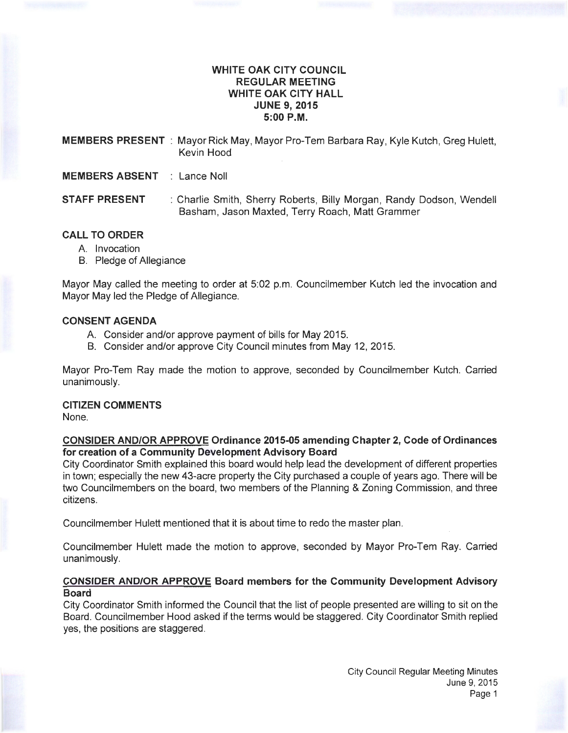# **WHITE OAK CITY COUNCIL REGULAR MEETING WHITE OAK CITY HALL JUNE 9, 2015 5:00P.M.**

**MEMBERS PRESENT** : Mayor Rick May, Mayor Pro-Tem Barbara Ray, Kyle Kutch, Greg Hulett, Kevin Hood

**MEMBERS ABSENT** : Lance Noll

**STAFF PRESENT** : Charlie Smith, Sherry Roberts, Billy Morgan, Randy Dodson, Wendell Basham, Jason Maxted, Terry Roach, Matt Grammer

# **CALL TO ORDER**

- A. Invocation
- B. Pledge of Allegiance

Mayor May called the meeting to order at 5:02 p.m. Councilmember Kutch led the invocation and Mayor May led the Pledge of Allegiance.

## **CONSENT AGENDA**

- A. Consider and/or approve payment of bills for May 2015.
- B. Consider and/or approve City Council minutes from May 12, 2015.

Mayor Pro-Tem Ray made the motion to approve, seconded by Councilmember Kutch. Carried unanimously.

## **CITIZEN COMMENTS**

None.

# **CONSIDER AND/OR APPROVE Ordinance 2015-05 amending Chapter 2, Code of Ordinances for creation of a Community Development Advisory Board**

City Coordinator Smith explained this board would help lead the development of different properties in town; especially the new 43-acre property the City purchased a couple of years ago. There will be two Councilmembers on the board, two members of the Planning & Zoning Commission, and three citizens.

Councilmember Hulett mentioned that it is about time to redo the master plan.

Councilmember Hulett made the motion to approve, seconded by Mayor Pro-Tem Ray. Carried unanimously.

# **CONSIDER AND/OR APPROVE Board members for the Community Development Advisory Board**

City Coordinator Smith informed the Council that the list of people presented are willing to sit on the Board. Councilmember Hood asked if the terms would be staggered. City Coordinator Smith replied yes, the positions are staggered.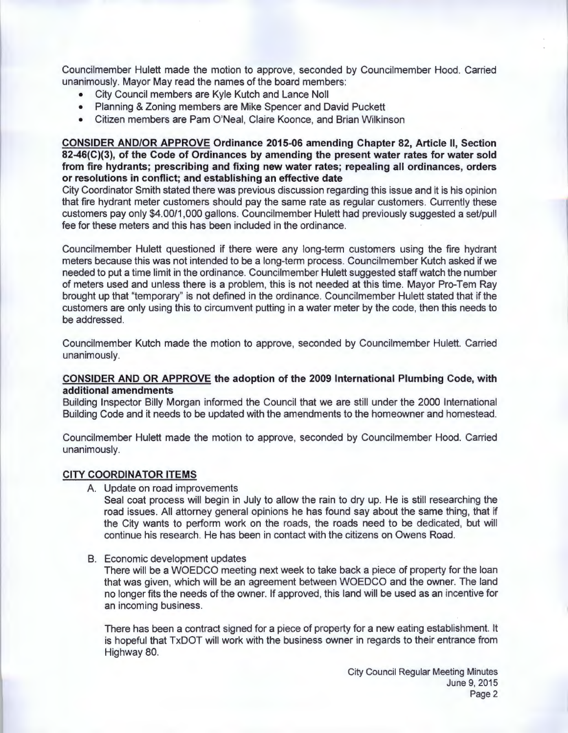Councilmember Hulett made the motion to approve, seconded by Councilmember Hood. Carried unanimously. Mayor May read the names of the board members:

- City Council members are Kyle Kutch and Lance Noll
- Planning & Zoning members are Mike Spencer and David Puckett
- Citizen members are Pam O'Neal, Claire Koonce, and Brian Wilkinson

## **CONSIDER AND/OR APPROVE Ordinance 2015-06 amending Chapter 82, Article II, Section 82-46(C)(3), of the Code of Ordinances by amending the present water rates for water sold from fire hydrants; prescribing and fixing new water rates; repealing all ordinances, orders or resolutions in conflict; and establishing an effective date**

City Coordinator Smith stated there was previous discussion regarding this issue and it is his opinion that fire hydrant meter customers should pay the same rate as regular customers. Currently these customers pay only \$4.00/1,000 gallons. Councilmember Hulett had previously suggested a set/pull fee for these meters and this has been included in the ordinance.

Councilmember Hulett questioned if there were any long-term customers using the fire hydrant meters because this was not intended to be a long-term process. Councilmember Kutch asked if we needed to put a time limit in the ordinance. Councilmember Hulett suggested staff watch the number of meters used and unless there is a problem, this is not needed at this time. Mayor Pro-Tem Ray brought up that "temporary" is not defined in the ordinance. Councilmember Hulett stated that if the customers are only using this to circumvent putting in a water meter by the code, then this needs to be addressed.

Councilmember Kutch made the motion to approve, seconded by Councilmember Hulett. Carried unanimously.

# **CONSIDER AND OR APPROVE the adoption of the 2009 International Plumbing Code, with additional amendments**

Building Inspector Billy Morgan informed the Council that we are still under the 2000 International Building Code and it needs to be updated with the amendments to the homeowner and homestead.

Councilmember Hulett made the motion to approve, seconded by Councilmember Hood. Carried unanimously.

#### **CITY COORDINATOR ITEMS**

A. Update on road improvements

Seal coat process will begin in July to allow the rain to dry up. He is still researching the road issues. All attorney general opinions he has found say about the same thing, that if the City wants to perform work on the roads, the roads need to be dedicated, but will continue his research. He has been in contact with the citizens on Owens Road.

B. Economic development updates

There will be a WOEDCO meeting next week to take back a piece of property for the loan that was given, which will be an agreement between WOEDCO and the owner. The land no longer fits the needs of the owner. If approved, this land will be used as an incentive for an incoming business.

There has been a contract signed for a piece of property for a new eating establishment. It is hopeful that TxDOT will work with the business owner in regards to their entrance from Highway 80.